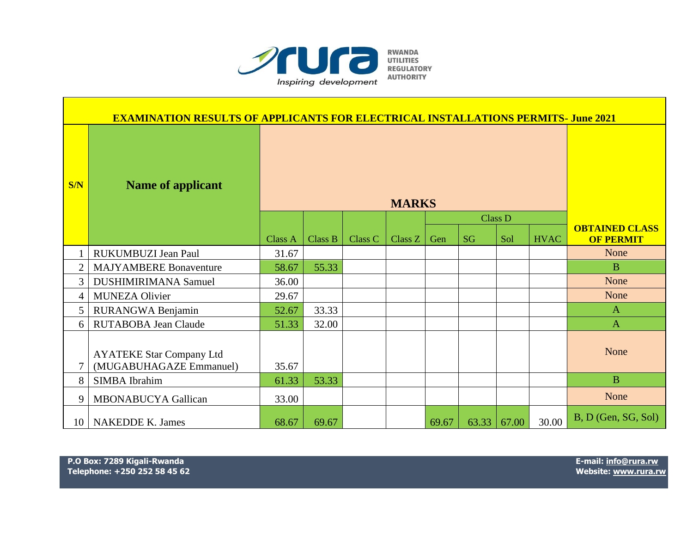

|                | <b>EXAMINATION RESULTS OF APPLICANTS FOR ELECTRICAL INSTALLATIONS PERMITS- June 2021</b> |                |         |         |              |       |           |       |             |                                           |  |
|----------------|------------------------------------------------------------------------------------------|----------------|---------|---------|--------------|-------|-----------|-------|-------------|-------------------------------------------|--|
| S/N            | <b>Name of applicant</b>                                                                 |                |         |         | <b>MARKS</b> |       | Class D   |       |             |                                           |  |
|                |                                                                                          | <b>Class A</b> | Class B | Class C | Class Z      | Gen   | <b>SG</b> | Sol   | <b>HVAC</b> | <b>OBTAINED CLASS</b><br><b>OF PERMIT</b> |  |
| $\mathbf{1}$   | RUKUMBUZI Jean Paul                                                                      | 31.67          |         |         |              |       |           |       |             | None                                      |  |
| $\overline{2}$ | <b>MAJYAMBERE Bonaventure</b>                                                            | 58.67          | 55.33   |         |              |       |           |       |             | $\overline{B}$                            |  |
| 3              | DUSHIMIRIMANA Samuel                                                                     | 36.00          |         |         |              |       |           |       |             | None                                      |  |
| 4              | <b>MUNEZA Olivier</b>                                                                    | 29.67          |         |         |              |       |           |       |             | None                                      |  |
| 5              | RURANGWA Benjamin                                                                        | 52.67          | 33.33   |         |              |       |           |       |             | $\mathbf{A}$                              |  |
| 6              | <b>RUTABOBA Jean Claude</b>                                                              | 51.33          | 32.00   |         |              |       |           |       |             | $\overline{A}$                            |  |
| 7              | <b>AYATEKE Star Company Ltd</b><br>(MUGABUHAGAZE Emmanuel)                               | 35.67          |         |         |              |       |           |       |             | None                                      |  |
| 8              | SIMBA Ibrahim                                                                            | 61.33          | 53.33   |         |              |       |           |       |             | $\bf{B}$                                  |  |
| 9              | MBONABUCYA Gallican                                                                      | 33.00          |         |         |              |       |           |       |             | None                                      |  |
| 10             | <b>NAKEDDE K. James</b>                                                                  | 68.67          | 69.67   |         |              | 69.67 | 63.33     | 67.00 | 30.00       | B, D (Gen, SG, Sol)                       |  |

֦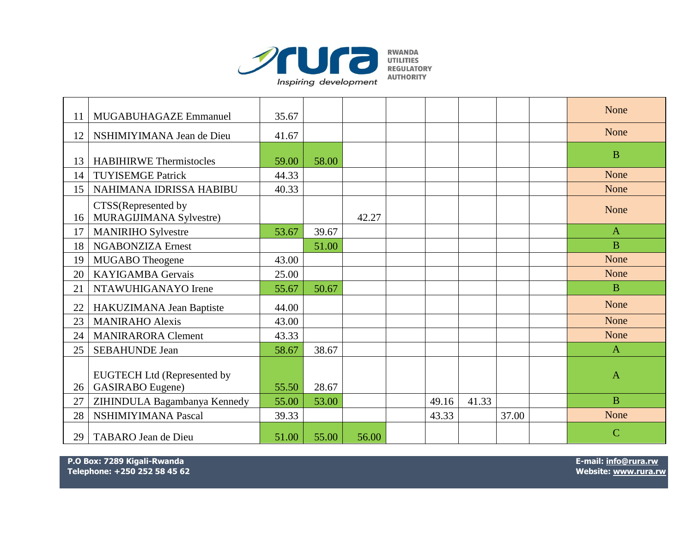

| 11 | MUGABUHAGAZE Emmanuel                                         | 35.67 |       |       |       |       |       | None           |
|----|---------------------------------------------------------------|-------|-------|-------|-------|-------|-------|----------------|
| 12 | NSHIMIYIMANA Jean de Dieu                                     | 41.67 |       |       |       |       |       | None           |
| 13 | <b>HABIHIRWE Thermistocles</b>                                | 59.00 | 58.00 |       |       |       |       | $\mathbf{B}$   |
| 14 | <b>TUYISEMGE Patrick</b>                                      | 44.33 |       |       |       |       |       | None           |
| 15 | NAHIMANA IDRISSA HABIBU                                       | 40.33 |       |       |       |       |       | None           |
| 16 | CTSS(Represented by<br>MURAGIJIMANA Sylvestre)                |       |       | 42.27 |       |       |       | None           |
| 17 | <b>MANIRIHO Sylvestre</b>                                     | 53.67 | 39.67 |       |       |       |       | $\mathbf{A}$   |
| 18 | <b>NGABONZIZA Ernest</b>                                      |       | 51.00 |       |       |       |       | $\overline{B}$ |
| 19 | MUGABO Theogene                                               | 43.00 |       |       |       |       |       | None           |
| 20 | KAYIGAMBA Gervais                                             | 25.00 |       |       |       |       |       | None           |
| 21 | NTAWUHIGANAYO Irene                                           | 55.67 | 50.67 |       |       |       |       | $\mathbf{B}$   |
| 22 | HAKUZIMANA Jean Baptiste                                      | 44.00 |       |       |       |       |       | None           |
| 23 | <b>MANIRAHO Alexis</b>                                        | 43.00 |       |       |       |       |       | None           |
| 24 | <b>MANIRARORA Clement</b>                                     | 43.33 |       |       |       |       |       | None           |
| 25 | <b>SEBAHUNDE Jean</b>                                         | 58.67 | 38.67 |       |       |       |       | $\overline{A}$ |
| 26 | <b>EUGTECH Ltd (Represented by</b><br><b>GASIRABO</b> Eugene) | 55.50 | 28.67 |       |       |       |       | $\mathbf{A}$   |
| 27 | ZIHINDULA Bagambanya Kennedy                                  | 55.00 | 53.00 |       | 49.16 | 41.33 |       | B              |
| 28 | <b>NSHIMIYIMANA Pascal</b>                                    | 39.33 |       |       | 43.33 |       | 37.00 | None           |
| 29 | TABARO Jean de Dieu                                           | 51.00 | 55.00 | 56.00 |       |       |       | $\overline{C}$ |

 **P.O Box: 7289 Kigali-Rwanda E-mail[: info@rura.rw](mailto:info@rura.rw) Telephone: +250 252 58 45 62 Website[: www.rura.rw](http://www.rura.rw/)**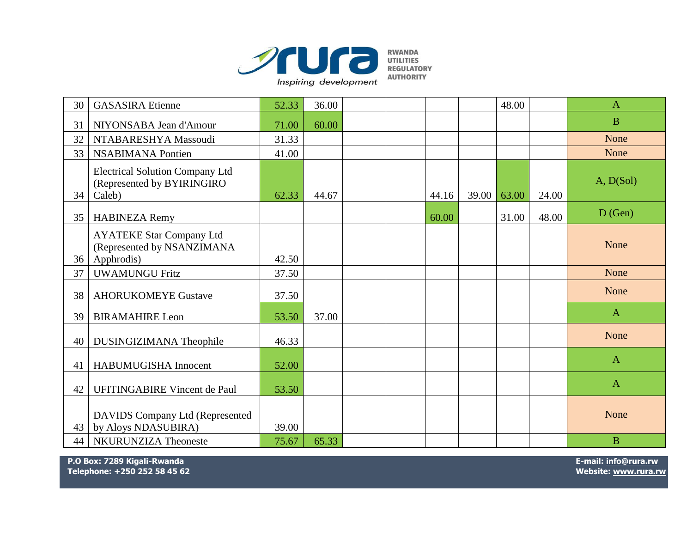

| 30 | <b>GASASIRA</b> Etienne                                                        | 52.33 | 36.00 |  |       |       | 48.00 |       | $\overline{A}$ |
|----|--------------------------------------------------------------------------------|-------|-------|--|-------|-------|-------|-------|----------------|
| 31 | NIYONSABA Jean d'Amour                                                         | 71.00 | 60.00 |  |       |       |       |       | $\mathbf{B}$   |
| 32 | NTABARESHYA Massoudi                                                           | 31.33 |       |  |       |       |       |       | None           |
| 33 | <b>NSABIMANA Pontien</b>                                                       | 41.00 |       |  |       |       |       |       | None           |
| 34 | <b>Electrical Solution Company Ltd</b><br>(Represented by BYIRINGIRO<br>Caleb) | 62.33 | 44.67 |  | 44.16 | 39.00 | 63.00 | 24.00 | A, D(Sol)      |
| 35 | <b>HABINEZA Remy</b>                                                           |       |       |  | 60.00 |       | 31.00 | 48.00 | D(Gen)         |
| 36 | <b>AYATEKE Star Company Ltd</b><br>(Represented by NSANZIMANA<br>Apphrodis)    | 42.50 |       |  |       |       |       |       | None           |
| 37 | <b>UWAMUNGU Fritz</b>                                                          | 37.50 |       |  |       |       |       |       | None           |
| 38 | <b>AHORUKOMEYE Gustave</b>                                                     | 37.50 |       |  |       |       |       |       | None           |
| 39 | <b>BIRAMAHIRE</b> Leon                                                         | 53.50 | 37.00 |  |       |       |       |       | $\mathbf{A}$   |
| 40 | DUSINGIZIMANA Theophile                                                        | 46.33 |       |  |       |       |       |       | None           |
| 41 | HABUMUGISHA Innocent                                                           | 52.00 |       |  |       |       |       |       | $\overline{A}$ |
| 42 | <b>UFITINGABIRE Vincent de Paul</b>                                            | 53.50 |       |  |       |       |       |       | $\mathbf{A}$   |
| 43 | DAVIDS Company Ltd (Represented<br>by Aloys NDASUBIRA)                         | 39.00 |       |  |       |       |       |       | None           |
| 44 | <b>NKURUNZIZA Theoneste</b>                                                    | 75.67 | 65.33 |  |       |       |       |       | $\overline{B}$ |

 **P.O Box: 7289 Kigali-Rwanda E-mail[: info@rura.rw](mailto:info@rura.rw) Telephone: +250 252 58 45 62 Website[: www.rura.rw](http://www.rura.rw/)**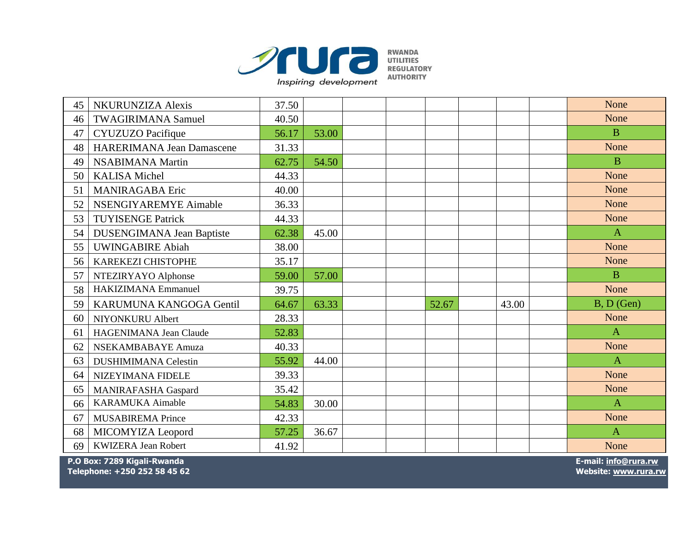

| 45 | NKURUNZIZA Alexis                                   | 37.50 |       |  |       |       | None           |  |  |  |  |
|----|-----------------------------------------------------|-------|-------|--|-------|-------|----------------|--|--|--|--|
| 46 | <b>TWAGIRIMANA Samuel</b>                           | 40.50 |       |  |       |       | None           |  |  |  |  |
| 47 | <b>CYUZUZO</b> Pacifique                            | 56.17 | 53.00 |  |       |       | B              |  |  |  |  |
| 48 | <b>HARERIMANA Jean Damascene</b>                    | 31.33 |       |  |       |       | None           |  |  |  |  |
| 49 | <b>NSABIMANA Martin</b>                             | 62.75 | 54.50 |  |       |       | $\mathbf{B}$   |  |  |  |  |
| 50 | <b>KALISA Michel</b>                                | 44.33 |       |  |       |       | None           |  |  |  |  |
| 51 | <b>MANIRAGABA Eric</b>                              | 40.00 |       |  |       |       | None           |  |  |  |  |
| 52 | <b>NSENGIYAREMYE Aimable</b>                        | 36.33 |       |  |       |       | None           |  |  |  |  |
| 53 | <b>TUYISENGE Patrick</b>                            | 44.33 |       |  |       |       | None           |  |  |  |  |
| 54 | <b>DUSENGIMANA Jean Baptiste</b>                    | 62.38 | 45.00 |  |       |       | A              |  |  |  |  |
| 55 | <b>UWINGABIRE Abiah</b>                             | 38.00 |       |  |       |       | None           |  |  |  |  |
| 56 | <b>KAREKEZI CHISTOPHE</b>                           | 35.17 |       |  |       |       | None           |  |  |  |  |
| 57 | NTEZIRYAYO Alphonse                                 | 59.00 | 57.00 |  |       |       | $\overline{B}$ |  |  |  |  |
| 58 | <b>HAKIZIMANA</b> Emmanuel                          | 39.75 |       |  |       |       | None           |  |  |  |  |
| 59 | KARUMUNA KANGOGA Gentil                             | 64.67 | 63.33 |  | 52.67 | 43.00 | $B, D$ (Gen)   |  |  |  |  |
| 60 | NIYONKURU Albert                                    | 28.33 |       |  |       |       | None           |  |  |  |  |
| 61 | <b>HAGENIMANA Jean Claude</b>                       | 52.83 |       |  |       |       | $\overline{A}$ |  |  |  |  |
| 62 | <b>NSEKAMBABAYE Amuza</b>                           | 40.33 |       |  |       |       | None           |  |  |  |  |
| 63 | <b>DUSHIMIMANA Celestin</b>                         | 55.92 | 44.00 |  |       |       | $\overline{A}$ |  |  |  |  |
| 64 | <b>NIZEYIMANA FIDELE</b>                            | 39.33 |       |  |       |       | None           |  |  |  |  |
| 65 | <b>MANIRAFASHA Gaspard</b>                          | 35.42 |       |  |       |       | None           |  |  |  |  |
| 66 | <b>KARAMUKA Aimable</b>                             | 54.83 | 30.00 |  |       |       | A              |  |  |  |  |
| 67 | <b>MUSABIREMA Prince</b>                            | 42.33 |       |  |       |       | None           |  |  |  |  |
| 68 | MICOMYIZA Leopord                                   | 57.25 | 36.67 |  |       |       | $\mathbf{A}$   |  |  |  |  |
| 69 | <b>KWIZERA Jean Robert</b>                          | 41.92 |       |  |       |       | None           |  |  |  |  |
|    | P.O Box: 7289 Kigali-Rwanda<br>E-mail: info@rura.rw |       |       |  |       |       |                |  |  |  |  |

 **Telephone: +250 252 58 45 62 Website[: www.rura.rw](http://www.rura.rw/)**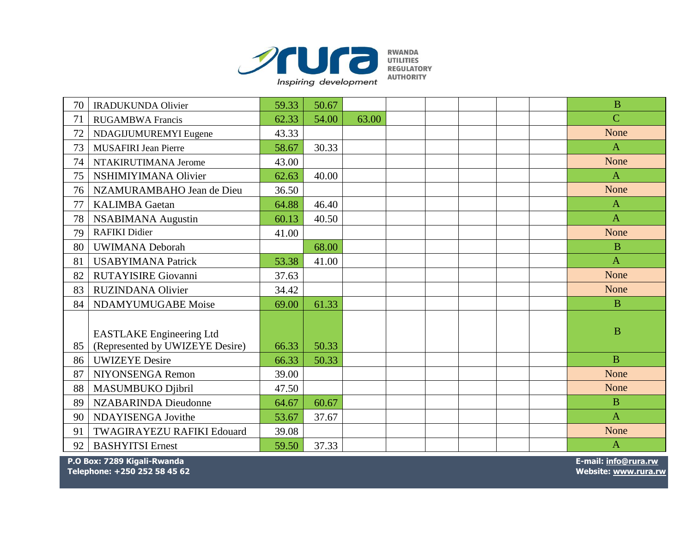

| 70 | <b>IRADUKUNDA Olivier</b>         | 59.33 | 50.67 |       |  |  | B              |
|----|-----------------------------------|-------|-------|-------|--|--|----------------|
| 71 | <b>RUGAMBWA Francis</b>           | 62.33 | 54.00 | 63.00 |  |  | $\overline{C}$ |
| 72 | NDAGIJUMUREMYI Eugene             | 43.33 |       |       |  |  | None           |
| 73 | <b>MUSAFIRI Jean Pierre</b>       | 58.67 | 30.33 |       |  |  | A              |
| 74 | NTAKIRUTIMANA Jerome              | 43.00 |       |       |  |  | None           |
| 75 | NSHIMIYIMANA Olivier              | 62.63 | 40.00 |       |  |  | $\mathbf{A}$   |
| 76 | NZAMURAMBAHO Jean de Dieu         | 36.50 |       |       |  |  | None           |
| 77 | <b>KALIMBA</b> Gaetan             | 64.88 | 46.40 |       |  |  | A              |
| 78 | <b>NSABIMANA Augustin</b>         | 60.13 | 40.50 |       |  |  | $\overline{A}$ |
| 79 | <b>RAFIKI Didier</b>              | 41.00 |       |       |  |  | None           |
| 80 | <b>UWIMANA</b> Deborah            |       | 68.00 |       |  |  | B              |
| 81 | <b>USABYIMANA Patrick</b>         | 53.38 | 41.00 |       |  |  | $\overline{A}$ |
| 82 | <b>RUTAYISIRE Giovanni</b>        | 37.63 |       |       |  |  | None           |
| 83 | <b>RUZINDANA Olivier</b>          | 34.42 |       |       |  |  | None           |
| 84 | NDAMYUMUGABE Moise                | 69.00 | 61.33 |       |  |  | $\mathbf{B}$   |
|    | <b>EASTLAKE</b> Engineering Ltd   |       |       |       |  |  | $\bf{B}$       |
| 85 | (Represented by UWIZEYE Desire)   | 66.33 | 50.33 |       |  |  |                |
| 86 | <b>UWIZEYE</b> Desire             | 66.33 | 50.33 |       |  |  | $\overline{B}$ |
| 87 | NIYONSENGA Remon                  | 39.00 |       |       |  |  | None           |
| 88 | MASUMBUKO Djibril                 | 47.50 |       |       |  |  | None           |
| 89 | <b>NZABARINDA Dieudonne</b>       | 64.67 | 60.67 |       |  |  | B              |
| 90 | NDAYISENGA Jovithe                | 53.67 | 37.67 |       |  |  | $\overline{A}$ |
| 91 | <b>TWAGIRAYEZU RAFIKI Edouard</b> | 39.08 |       |       |  |  | None           |
| 92 | <b>BASHYITSI Ernest</b>           | 59.50 | 37.33 |       |  |  | A              |

 **P.O Box: 7289 Kigali-Rwanda E-mail[: info@rura.rw](mailto:info@rura.rw)**

 **Telephone: +250 252 58 45 62 Website[: www.rura.rw](http://www.rura.rw/)**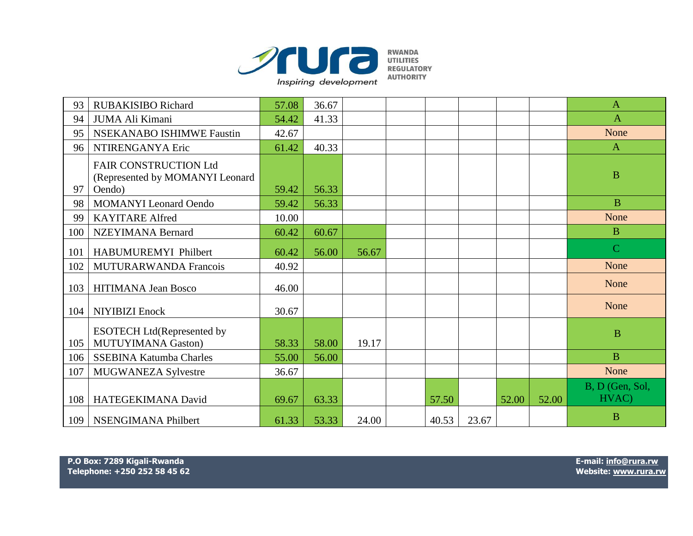

| 93  | <b>RUBAKISIBO Richard</b>                                                 | 57.08 | 36.67 |       |       |       |       |       | $\mathbf{A}$             |
|-----|---------------------------------------------------------------------------|-------|-------|-------|-------|-------|-------|-------|--------------------------|
| 94  | JUMA Ali Kimani                                                           | 54.42 | 41.33 |       |       |       |       |       | $\overline{A}$           |
| 95  | <b>NSEKANABO ISHIMWE Faustin</b>                                          | 42.67 |       |       |       |       |       |       | None                     |
| 96  | NTIRENGANYA Eric                                                          | 61.42 | 40.33 |       |       |       |       |       | $\mathbf{A}$             |
| 97  | <b>FAIR CONSTRUCTION Ltd</b><br>(Represented by MOMANYI Leonard<br>Oendo) | 59.42 | 56.33 |       |       |       |       |       | $\overline{B}$           |
| 98  | <b>MOMANYI</b> Leonard Oendo                                              | 59.42 | 56.33 |       |       |       |       |       | $\overline{B}$           |
| 99  | <b>KAYITARE Alfred</b>                                                    | 10.00 |       |       |       |       |       |       | None                     |
| 100 | <b>NZEYIMANA Bernard</b>                                                  | 60.42 | 60.67 |       |       |       |       |       | $\mathbf{B}$             |
| 101 | HABUMUREMYI Philbert                                                      | 60.42 | 56.00 | 56.67 |       |       |       |       | $\mathcal{C}$            |
| 102 | MUTURARWANDA Francois                                                     | 40.92 |       |       |       |       |       |       | None                     |
| 103 | <b>HITIMANA Jean Bosco</b>                                                | 46.00 |       |       |       |       |       |       | None                     |
| 104 | <b>NIYIBIZI Enock</b>                                                     | 30.67 |       |       |       |       |       |       | None                     |
| 105 | <b>ESOTECH Ltd(Represented by</b><br><b>MUTUYIMANA Gaston)</b>            | 58.33 | 58.00 | 19.17 |       |       |       |       | $\mathbf{B}$             |
| 106 | <b>SSEBINA Katumba Charles</b>                                            | 55.00 | 56.00 |       |       |       |       |       | B                        |
| 107 | MUGWANEZA Sylvestre                                                       | 36.67 |       |       |       |       |       |       | None                     |
| 108 | HATEGEKIMANA David                                                        | 69.67 | 63.33 |       | 57.50 |       | 52.00 | 52.00 | B, D (Gen, Sol,<br>HVAC) |
|     | 109   NSENGIMANA Philbert                                                 | 61.33 | 53.33 | 24.00 | 40.53 | 23.67 |       |       | B                        |